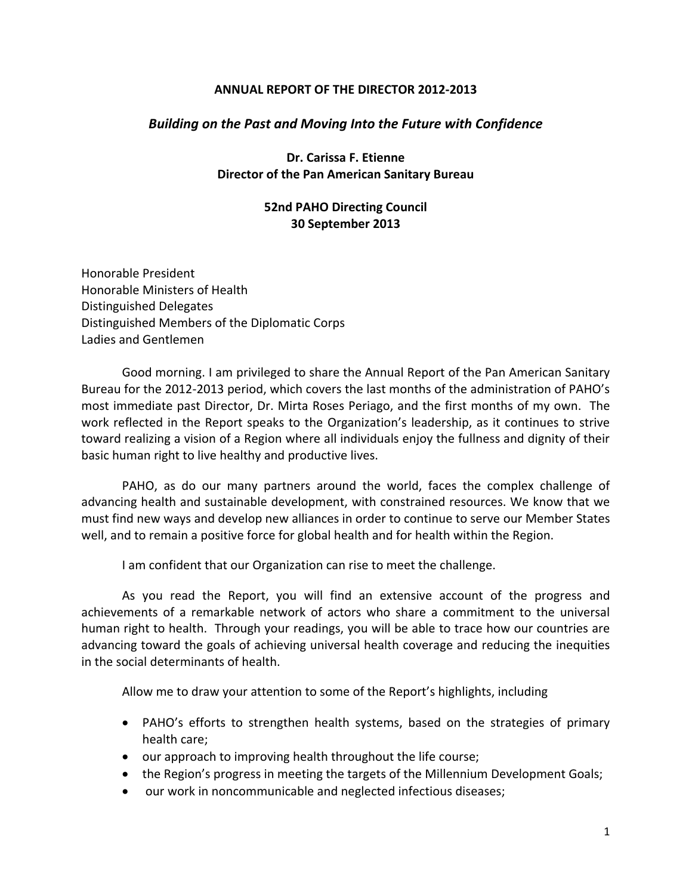#### **ANNUAL REPORT OF THE DIRECTOR 2012-2013**

## *Building on the Past and Moving Into the Future with Confidence*

**Dr. Carissa F. Etienne Director of the Pan American Sanitary Bureau**

#### **52nd PAHO Directing Council 30 September 2013**

Honorable President Honorable Ministers of Health Distinguished Delegates Distinguished Members of the Diplomatic Corps Ladies and Gentlemen

Good morning. I am privileged to share the Annual Report of the Pan American Sanitary Bureau for the 2012-2013 period, which covers the last months of the administration of PAHO's most immediate past Director, Dr. Mirta Roses Periago, and the first months of my own. The work reflected in the Report speaks to the Organization's leadership, as it continues to strive toward realizing a vision of a Region where all individuals enjoy the fullness and dignity of their basic human right to live healthy and productive lives.

PAHO, as do our many partners around the world, faces the complex challenge of advancing health and sustainable development, with constrained resources. We know that we must find new ways and develop new alliances in order to continue to serve our Member States well, and to remain a positive force for global health and for health within the Region.

I am confident that our Organization can rise to meet the challenge.

As you read the Report, you will find an extensive account of the progress and achievements of a remarkable network of actors who share a commitment to the universal human right to health. Through your readings, you will be able to trace how our countries are advancing toward the goals of achieving universal health coverage and reducing the inequities in the social determinants of health.

Allow me to draw your attention to some of the Report's highlights, including

- PAHO's efforts to strengthen health systems, based on the strategies of primary health care;
- our approach to improving health throughout the life course;
- the Region's progress in meeting the targets of the Millennium Development Goals;
- our work in noncommunicable and neglected infectious diseases;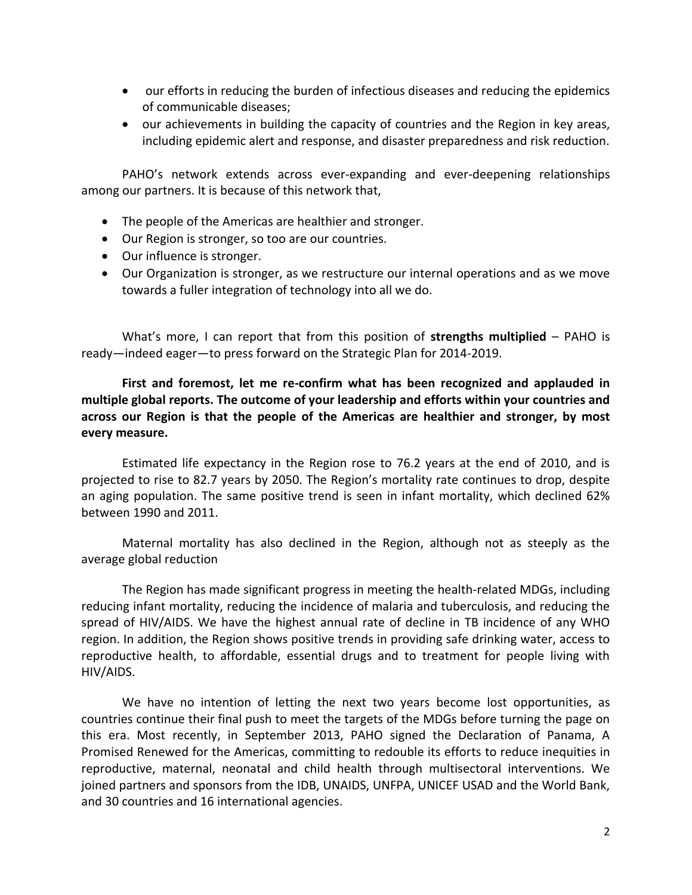- our efforts in reducing the burden of infectious diseases and reducing the epidemics of communicable diseases;
- our achievements in building the capacity of countries and the Region in key areas, including epidemic alert and response, and disaster preparedness and risk reduction.

PAHO's network extends across ever-expanding and ever-deepening relationships among our partners. It is because of this network that,

- The people of the Americas are healthier and stronger.
- Our Region is stronger, so too are our countries.
- Our influence is stronger.
- Our Organization is stronger, as we restructure our internal operations and as we move towards a fuller integration of technology into all we do.

What's more, I can report that from this position of **strengths multiplied** – PAHO is ready—indeed eager—to press forward on the Strategic Plan for 2014-2019.

**First and foremost, let me re-confirm what has been recognized and applauded in multiple global reports. The outcome of your leadership and efforts within your countries and across our Region is that the people of the Americas are healthier and stronger, by most every measure.** 

Estimated life expectancy in the Region rose to 76.2 years at the end of 2010, and is projected to rise to 82.7 years by 2050. The Region's mortality rate continues to drop, despite an aging population. The same positive trend is seen in infant mortality, which declined 62% between 1990 and 2011.

Maternal mortality has also declined in the Region, although not as steeply as the average global reduction

The Region has made significant progress in meeting the health-related MDGs, including reducing infant mortality, reducing the incidence of malaria and tuberculosis, and reducing the spread of HIV/AIDS. We have the highest annual rate of decline in TB incidence of any WHO region. In addition, the Region shows positive trends in providing safe drinking water, access to reproductive health, to affordable, essential drugs and to treatment for people living with HIV/AIDS.

We have no intention of letting the next two years become lost opportunities, as countries continue their final push to meet the targets of the MDGs before turning the page on this era. Most recently, in September 2013, PAHO signed the Declaration of Panama, A Promised Renewed for the Americas, committing to redouble its efforts to reduce inequities in reproductive, maternal, neonatal and child health through multisectoral interventions. We joined partners and sponsors from the IDB, UNAIDS, UNFPA, UNICEF USAD and the World Bank, and 30 countries and 16 international agencies.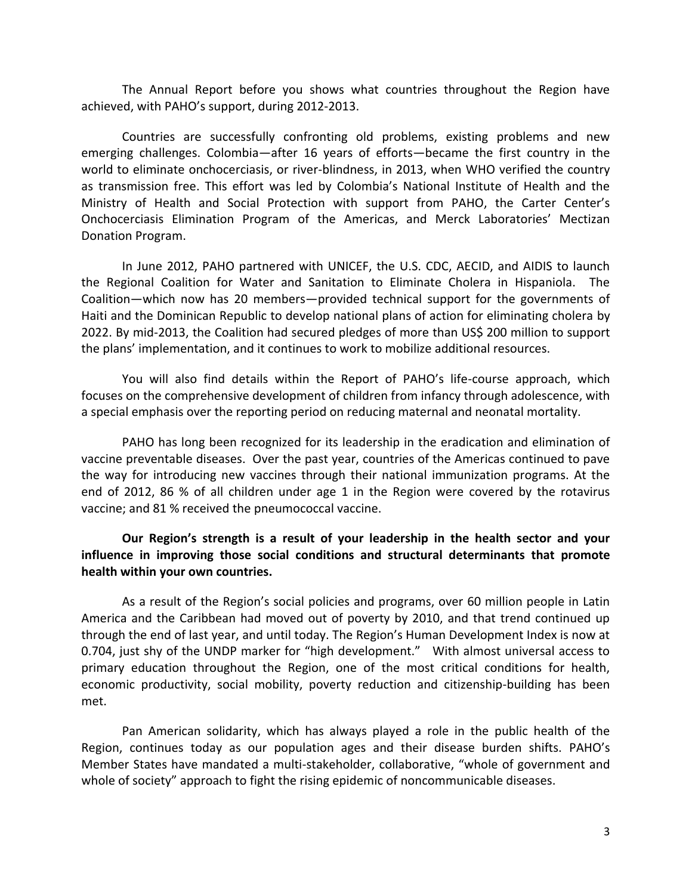The Annual Report before you shows what countries throughout the Region have achieved, with PAHO's support, during 2012-2013.

Countries are successfully confronting old problems, existing problems and new emerging challenges. Colombia—after 16 years of efforts—became the first country in the world to eliminate onchocerciasis, or river-blindness, in 2013, when WHO verified the country as transmission free. This effort was led by Colombia's National Institute of Health and the Ministry of Health and Social Protection with support from PAHO, the Carter Center's Onchocerciasis Elimination Program of the Americas, and Merck Laboratories' Mectizan Donation Program.

In June 2012, PAHO partnered with UNICEF, the U.S. CDC, AECID, and AIDIS to launch the Regional Coalition for Water and Sanitation to Eliminate Cholera in Hispaniola. The Coalition—which now has 20 members—provided technical support for the governments of Haiti and the Dominican Republic to develop national plans of action for eliminating cholera by 2022. By mid-2013, the Coalition had secured pledges of more than US\$ 200 million to support the plans' implementation, and it continues to work to mobilize additional resources.

You will also find details within the Report of PAHO's life-course approach, which focuses on the comprehensive development of children from infancy through adolescence, with a special emphasis over the reporting period on reducing maternal and neonatal mortality.

PAHO has long been recognized for its leadership in the eradication and elimination of vaccine preventable diseases. Over the past year, countries of the Americas continued to pave the way for introducing new vaccines through their national immunization programs. At the end of 2012, 86 % of all children under age 1 in the Region were covered by the rotavirus vaccine; and 81 % received the pneumococcal vaccine.

# **Our Region's strength is a result of your leadership in the health sector and your influence in improving those social conditions and structural determinants that promote health within your own countries.**

As a result of the Region's social policies and programs, over 60 million people in Latin America and the Caribbean had moved out of poverty by 2010, and that trend continued up through the end of last year, and until today. The Region's Human Development Index is now at 0.704, just shy of the UNDP marker for "high development." With almost universal access to primary education throughout the Region, one of the most critical conditions for health, economic productivity, social mobility, poverty reduction and citizenship-building has been met.

Pan American solidarity, which has always played a role in the public health of the Region, continues today as our population ages and their disease burden shifts. PAHO's Member States have mandated a multi-stakeholder, collaborative, "whole of government and whole of society" approach to fight the rising epidemic of noncommunicable diseases.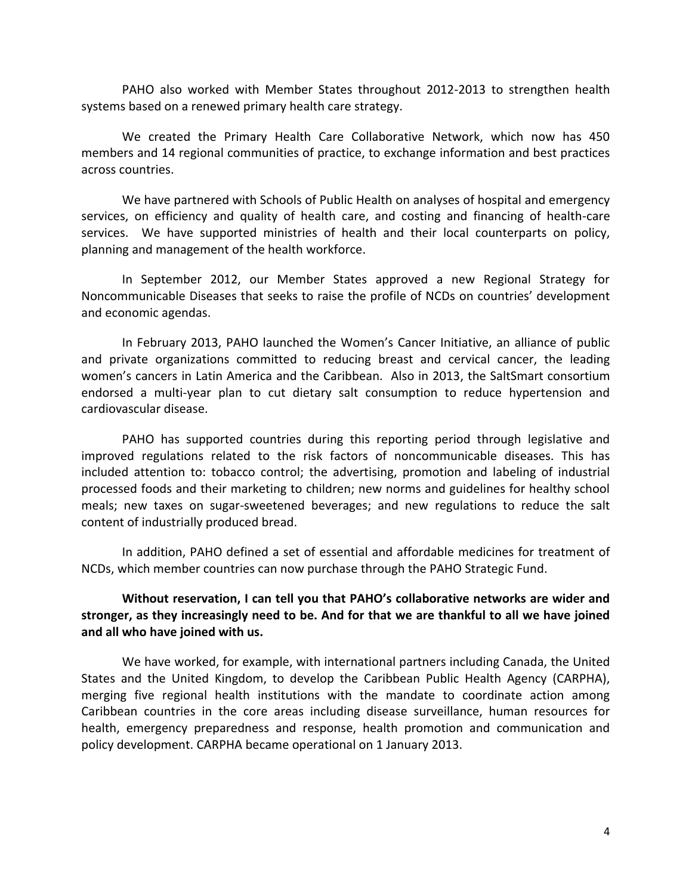PAHO also worked with Member States throughout 2012-2013 to strengthen health systems based on a renewed primary health care strategy.

We created the Primary Health Care Collaborative Network, which now has 450 members and 14 regional communities of practice, to exchange information and best practices across countries.

We have partnered with Schools of Public Health on analyses of hospital and emergency services, on efficiency and quality of health care, and costing and financing of health-care services. We have supported ministries of health and their local counterparts on policy, planning and management of the health workforce.

In September 2012, our Member States approved a new Regional Strategy for Noncommunicable Diseases that seeks to raise the profile of NCDs on countries' development and economic agendas.

In February 2013, PAHO launched the Women's Cancer Initiative, an alliance of public and private organizations committed to reducing breast and cervical cancer, the leading women's cancers in Latin America and the Caribbean. Also in 2013, the SaltSmart consortium endorsed a multi-year plan to cut dietary salt consumption to reduce hypertension and cardiovascular disease.

PAHO has supported countries during this reporting period through legislative and improved regulations related to the risk factors of noncommunicable diseases. This has included attention to: tobacco control; the advertising, promotion and labeling of industrial processed foods and their marketing to children; new norms and guidelines for healthy school meals; new taxes on sugar-sweetened beverages; and new regulations to reduce the salt content of industrially produced bread.

In addition, PAHO defined a set of essential and affordable medicines for treatment of NCDs, which member countries can now purchase through the PAHO Strategic Fund.

## **Without reservation, I can tell you that PAHO's collaborative networks are wider and stronger, as they increasingly need to be. And for that we are thankful to all we have joined and all who have joined with us.**

We have worked, for example, with international partners including Canada, the United States and the United Kingdom, to develop the Caribbean Public Health Agency (CARPHA), merging five regional health institutions with the mandate to coordinate action among Caribbean countries in the core areas including disease surveillance, human resources for health, emergency preparedness and response, health promotion and communication and policy development. CARPHA became operational on 1 January 2013.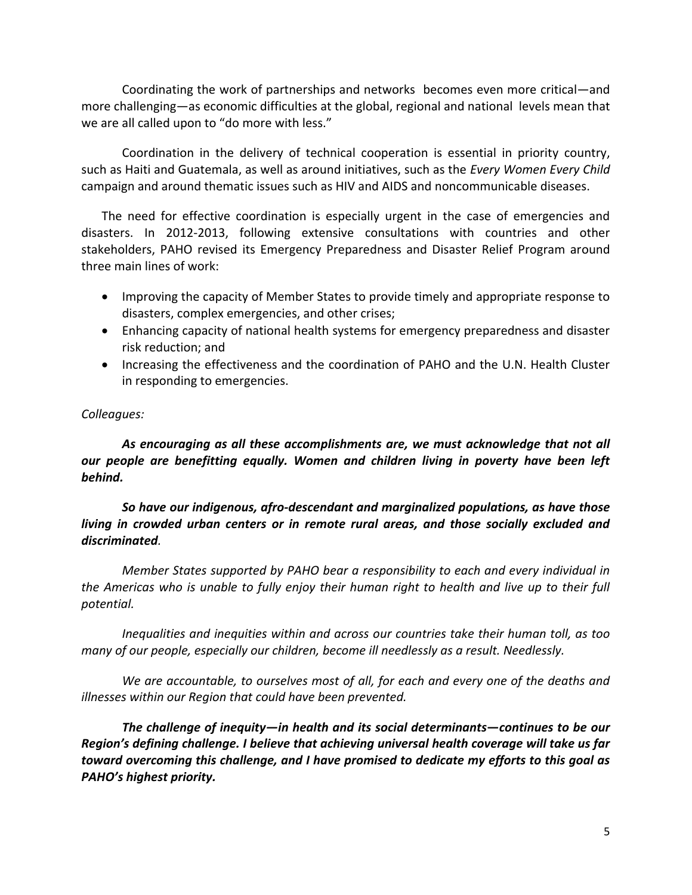Coordinating the work of partnerships and networks becomes even more critical—and more challenging—as economic difficulties at the global, regional and national levels mean that we are all called upon to "do more with less."

Coordination in the delivery of technical cooperation is essential in priority country, such as Haiti and Guatemala, as well as around initiatives, such as the *Every Women Every Child* campaign and around thematic issues such as HIV and AIDS and noncommunicable diseases.

The need for effective coordination is especially urgent in the case of emergencies and disasters. In 2012-2013, following extensive consultations with countries and other stakeholders, PAHO revised its Emergency Preparedness and Disaster Relief Program around three main lines of work:

- Improving the capacity of Member States to provide timely and appropriate response to disasters, complex emergencies, and other crises;
- Enhancing capacity of national health systems for emergency preparedness and disaster risk reduction; and
- Increasing the effectiveness and the coordination of PAHO and the U.N. Health Cluster in responding to emergencies.

# *Colleagues:*

*As encouraging as all these accomplishments are, we must acknowledge that not all our people are benefitting equally. Women and children living in poverty have been left behind.* 

*So have our indigenous, afro-descendant and marginalized populations, as have those living in crowded urban centers or in remote rural areas, and those socially excluded and discriminated.*

*Member States supported by PAHO bear a responsibility to each and every individual in the Americas who is unable to fully enjoy their human right to health and live up to their full potential.* 

*Inequalities and inequities within and across our countries take their human toll, as too many of our people, especially our children, become ill needlessly as a result. Needlessly.* 

*We are accountable, to ourselves most of all, for each and every one of the deaths and illnesses within our Region that could have been prevented.* 

*The challenge of inequity—in health and its social determinants***—***continues to be our Region's defining challenge. I believe that achieving universal health coverage will take us far toward overcoming this challenge, and I have promised to dedicate my efforts to this goal as PAHO's highest priority.*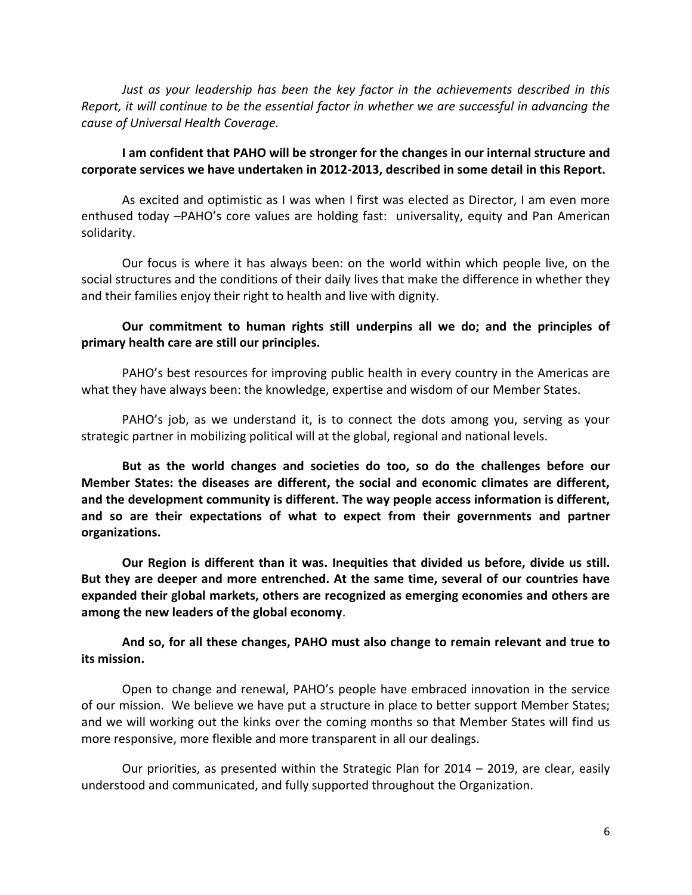*Just as your leadership has been the key factor in the achievements described in this Report, it will continue to be the essential factor in whether we are successful in advancing the cause of Universal Health Coverage.* 

#### **I am confident that PAHO will be stronger for the changes in our internal structure and corporate services we have undertaken in 2012-2013, described in some detail in this Report.**

As excited and optimistic as I was when I first was elected as Director, I am even more enthused today –PAHO's core values are holding fast: universality, equity and Pan American solidarity.

Our focus is where it has always been: on the world within which people live, on the social structures and the conditions of their daily lives that make the difference in whether they and their families enjoy their right to health and live with dignity.

# **Our commitment to human rights still underpins all we do; and the principles of primary health care are still our principles.**

PAHO's best resources for improving public health in every country in the Americas are what they have always been: the knowledge, expertise and wisdom of our Member States.

PAHO's job, as we understand it, is to connect the dots among you, serving as your strategic partner in mobilizing political will at the global, regional and national levels.

**But as the world changes and societies do too, so do the challenges before our Member States: the diseases are different, the social and economic climates are different, and the development community is different. The way people access information is different, and so are their expectations of what to expect from their governments and partner organizations.** 

**Our Region is different than it was. Inequities that divided us before, divide us still. But they are deeper and more entrenched. At the same time, several of our countries have expanded their global markets, others are recognized as emerging economies and others are among the new leaders of the global economy**.

**And so, for all these changes, PAHO must also change to remain relevant and true to its mission.** 

Open to change and renewal, PAHO's people have embraced innovation in the service of our mission. We believe we have put a structure in place to better support Member States; and we will working out the kinks over the coming months so that Member States will find us more responsive, more flexible and more transparent in all our dealings.

Our priorities, as presented within the Strategic Plan for 2014 – 2019, are clear, easily understood and communicated, and fully supported throughout the Organization.